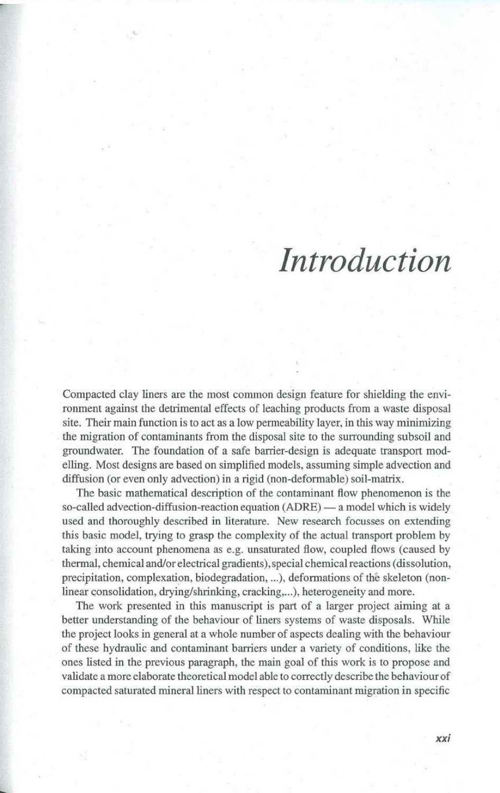## *Introduetion*

Compacted clay liners are the most common design feature for shielding the environment against the detrimental effects of leaching products from a waste disposal site. Their main function is to act as a low penneability layer, in this way minimizing the migration of contaminants from the disposal site to the surrounding subsoil and groundwater. The foundation of a safe barrier-design is adequate transport modelling. Most designs are based on simplified models, assuming simple adveetion and diffusion (or even only advection) in a rigid (non-deformable) soil-matrix.

The basic mathematical description of the contaminant fiow phenomenon is the so-called advection-diffusion-reaction equation (ADRE) — a model which is widely used and thoroughly described in literature. New research focusses on extending this basic model, trying to grasp the complexity of the actual transport problem by taking into account phenomena as e.g. unsaturated fiow, coupled fiows (caused by thermal, chemical and/or electrical gradients), special chemical reactions (dissolution, precipitation, complexation, biodegradation, ...), deformations of thê skeleton (nonlinear consolidation, drying/shrinking, cracking,...), heterogeneity and more.

The work presented in this manuscript is part of a larger project aiming at a better understanding of the behaviour of liners systems of waste disposals. While the project looks in general at a whole number of aspects dealing with the behaviour of these hydraulic and contaminant barriers under a variety of conditions, like the ones listed in the previous paragraph, the main goal of this work is to propose and validate a more elaborate theoretical model able to correctly describe the behaviour of compacted saturated mineral liners with respect to contaminant migration in specific